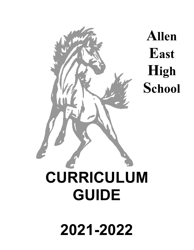

**Allen East High School**

# **CURRICULUM**

# **2021-2022**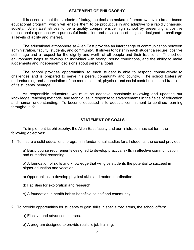#### **STATEMENT OF PHILOSOPHY**

It is essential that the students of today, the decision makers of tomorrow have a broad-based educational program, which will enable them to be productive in and adaptive to a rapidly changing society. Allen East strives to be a quality comprehensive high school by presenting a positive educational experience with purposeful instruction and a selection of subjects designed to challenge all levels of ability and interest.

The educational atmosphere at Allen East provides an interchange of communication between administration, faculty, students, and community. It strives to foster in each student a secure, positive self-image and a respect for the dignity and worth of all people and their traditions. The school environment helps to develop an individual with strong, sound convictions, and the ability to make judgements and independent decisions about personal goals.

The school provides opportunities so each student is able to respond constructively to challenges and is prepared to serve his peers, community and country. The school fosters an understanding and appreciation of the moral, cultural, physical, and social contributions and traditions of its students' heritage.

As responsible educators, we must be adaptive, constantly reviewing and updating our knowledge, teaching methods, and techniques in response to advancements in the fields of education and human understanding. To become educated is to adopt a commitment to continue learning throughout life.

#### **STATEMENT OF GOALS**

To implement its philosophy, the Allen East faculty and administration has set forth the following objectives:

1. To insure a solid educational program in fundamental studies for all students, the school provides:

a) Basic course requirements designed to develop practical skills in effective communication and numerical reasoning.

b) A foundation of skills and knowledge that will give students the potential to succeed in higher education and vocation.

c) Opportunities to develop physical skills and motor coordination.

d) Facilities for exploration and research.

e) A foundation in health habits beneficial to self and community.

- 2. To provide opportunities for students to gain skills in specialized areas, the school offers:
	- a) Elective and advanced courses.
	- b) A program designed to provide realistic job training.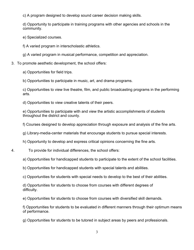c) A program designed to develop sound career decision making skills.

d) Opportunity to participate in training programs with other agencies and schools in the community.

- e) Specialized courses.
- f) A varied program in interscholastic athletics.
- g) A varied program in musical performance, competition and appreciation.
- 3. To promote aesthetic development, the school offers:
	- a) Opportunities for field trips.
	- b) Opportunities to participate in music, art, and drama programs.

c) Opportunities to view live theatre, film, and public broadcasting programs in the performing arts.

d) Opportunities to view creative talents of their peers.

e) Opportunities to participate with and view the artistic accomplishments of students throughout the district and county.

f) Courses designed to develop appreciation through exposure and analysis of the fine arts.

- g) Library-media-center materials that encourage students to pursue special interests.
- h) Opportunity to develop and express critical opinions concerning the fine arts.
- 4. To provide for individual differences, the school offers:
	- a) Opportunities for handicapped students to participate to the extent of the school facilities.
	- b) Opportunities for handicapped students with special talents and abilities.
	- c) Opportunities for students with special needs to develop to the best of their abilities.
	- d) Opportunities for students to choose from courses with different degrees of difficulty.
	- e) Opportunities for students to choose from courses with diversified skill demands.
	- f) Opportunities for students to be evaluated in different manners through their optimum means of performance.
	- g) Opportunities for students to be tutored in subject areas by peers and professionals.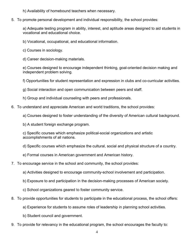h) Availability of homebound teachers when necessary.

5. To promote personal development and individual responsibility, the school provides:

a) Adequate testing program in ability, interest, and aptitude areas designed to aid students in vocational and educational choice.

- b) Vocational, occupational, and educational information.
- c) Courses in sociology.
- d) Career decision-making materials.

e) Courses designed to encourage independent thinking, goal-oriented decision making and independent problem solving.

f) Opportunities for student representation and expression in clubs and co-curricular activities.

- g) Social interaction and open communication between peers and staff.
- h) Group and individual counseling with peers and professionals.
- 6. To understand and appreciate American and world traditions, the school provides:
	- a) Courses designed to foster understanding of the diversity of American cultural background.
	- b) A student foreign exchange program.

c) Specific courses which emphasize political-social organizations and artistic accomplishments of all nations.

d) Specific courses which emphasize the cultural, social and physical structure of a country.

- e) Formal courses in American government and American history.
- 7. To encourage service in the school and community, the school provides:
	- a) Activities designed to encourage community-school involvement and participation.
	- b) Exposure to and participation in the decision-making processes of American society.
	- c) School organizations geared to foster community service.
- 8. To provide opportunities for students to participate in the educational process, the school offers:
	- a) Experience for students to assume roles of leadership in planning school activities.
	- b) Student council and government.
- 9. To provide for relevancy in the educational program, the school encourages the faculty to: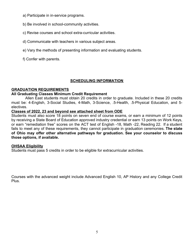- a) Participate in in-service programs.
- b) Be involved in school-community activities.
- c) Revise courses and school extra-curricular activities.
- d) Communicate with teachers in various subject areas.
- e) Vary the methods of presenting information and evaluating students.
- f) Confer with parents.

# **SCHEDULING INFORMATION**

# **GRADUATION REQUIREMENTS**

# **All Graduating Classes Minimum Credit Requirement**

Allen East students must obtain 20 credits in order to graduate. Included in these 20 credits must be: 4-English, 3-Social Studies, 4-Math, 3-Science, .5-Health, .5-Physical Education, and 5 electives.

# **Classes of 2022, 23 and beyond see attached sheet from ODE**

Students must also score 18 points on seven end of course exams, or earn a minimum of 12 points by receiving a State Board of Education approved industry credential or earn 13 points on Work Keys, or earn "remediation free" scores on the ACT test of English -18, Math -22, Reading 22. If a student fails to meet any of these requirements, they cannot participate in graduation ceremonies. **The state of Ohio may offer other alternative pathways for graduation. See your counselor to discuss those options, if available.**

# **OHSAA Eligibility**

Students must pass 5 credits in order to be eligible for extracurricular activities.

Courses with the advanced weight include Advanced English 10, AP History and any College Credit Plus.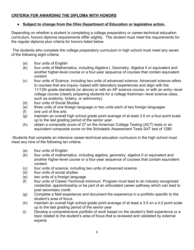# **CRITERIA FOR AWARDING THE DIPLOMA WITH HONORS**

# ● **Subject to change from the Ohio Department of Education or legislative action.**

Depending on whether a student is completing a college preparatory or career-technical education curriculum, honors diploma requirements differ slightly. The student must meet the requirements for the regular diploma plus criteria for honors listed below.

 The students who complete the college preparatory curriculum in high school must meet any seven of the following eight criteria:

- (a) four units of English
- (b) four units of Mathematics, including Algebra I, Geometry, Algebra II or equivalent and another higher-level course or a four-year sequence of courses that contain equivalent content
- (c) four units of Science, including two units of advanced science. Advanced science refers to courses that are inquiry--based with laboratory experiences and align with the 11/12th grade standards (or above) or with an AP science course, or with an entry--level college course (clearly preparing students for a college freshman--level science class, such as anatomy, botany, or astronomy).
- (d) four units of Social Studies
- (e) three units of one foreign language or two units each of two foreign languages
- (f) one unit of fine arts
- (g) maintain an overall high school grade point average of at least 3.5 on a four-point scale up to the last grading period of the senior year.
- (h) obtain a composite score of 27 on the American College Testing (ACT) tests or an equivalent composite score on the Scholastic Assessment Tests SAT test of 1280

 Students that complete an intensive career-technical education curriculum in the high school must meet any nine of the following ten criteria.

- (a) four units of English
- (b) four units of mathematics, including algebra, geometry, algebra II or equivalent and another higher-level course or a four-year sequence of courses that contain equivalent content
- (c) four units of science, including two units of advanced science
- (d) four units of social studies
- (e) two units of a foreign language
- (f) four units of Career-Technical minimum. Program must lead to an industry recognized credential, apprenticeship or be part of an articulated career pathway which can lead to post secondary credit.
- (g) Complete a field experience and document the experience in a portfolio specific to the student's area of focus
- (h) maintain an overall high school grade point average of at least a 3.5 on a 4.0 point scale up to the last grading period of the senior year
- (i) Develop a comprehensive portfolio of work based on the student's field experience or a topic related to the student's area of focus that is reviewed and validated by external experts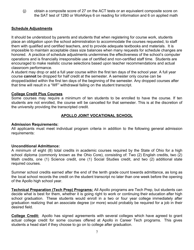(j) obtain a composite score of 27 on the ACT tests or an equivalent composite score on the SAT test of 1280 or WorkKeys 6 on reading for information and 6 on applied math

# **Schedule Adjustments**

It should be understood by parents and students that when registering for course work, students place an obligation upon the school administration to accommodate the courses requested, to staff them with qualified and certified teachers, and to provide adequate textbooks and materials. It is impossible to maintain acceptable class size balances when many requests for schedule changes are honored. A practice of schedule adjustments undermines the effectiveness of the school's computer operations and is financially irresponsible use of certified and non-certified staff time. Students are encouraged to make realistic course selections based upon teacher recommendations and actual classroom performance.

A student may drop or add a full year course within the first ten days of the school year. A full year course **cannot** be dropped for half credit at the semester. A semester only course can be dropped/added within the first ten days of the beginning of the semester. Any dropped courses after that time will result in a "WF" withdrawal failing on the student transcript.

#### **College Credit Plus Courses**

Some courses may require a minimum of ten students to be enrolled to have the course. If ten students are not enrolled, the course will be cancelled for that semester. This is at the discretion of the university providing the transcripted credit.

# **APOLLO JOINT VOCATIONAL SCHOOL**

#### **Admission Requirements:**

All applicants must meet individual program criteria in addition to the following general admission requirements:

#### **Unconditional Admittance:**

A minimum of eight (8) total credits in academic courses required by the State of Ohio for a high school diploma (commonly known as the Ohio Core), consisting of: Two (2) English credits, two (2) Math credits, one (1) Science credit, one (1) Social Studies credit, and two (2) additional state required courses.

Summer school credits earned after the end of the tenth grade count towards admittance, as long as the local school records the credit on the student transcript no later than one week before the opening of the Apollo high school year.

**Technical Preparation (Tech Prep) Programs:** All Apollo programs are Tech Prep, but students can decide what is best for them, whether it is going right to work or continuing their education after high school graduation. These students would enroll in a two or four year college immediately after graduation realizing that an associate degree (or more) would probably be required for a job in their desired field.

**College Credit:** Apollo has signed agreements with several colleges which have agreed to grant actual college credit for some courses offered at Apollo in Career Tech programs. This gives students a head start if they choose to go on to college after graduation.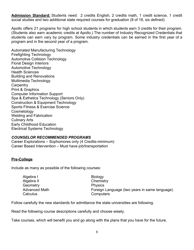**Admission Standard:** Students need: 2 credits English, 2 credits math, 1 credit science, 1 credit social studies and two additional state required courses for graduation (8 of 16, six defined)

Apollo offers 21 programs for high school students in which students earn 3 credits for their program. (Students also earn academic credits at Apollo.) The number of Industry Recognized Credentials that students can earn vary by program. Some industry credentials can be earned in the first year of a program and in the second year of a program.

Automated Manufacturing Technology Firefighting Technology Automotive Collision Technology Floral Design Interiors Automotive Technology Health Sciences Building and Renovations Multimedia Technology **Carpentry** Print & Graphics Computer Information Support Spa & Esthetics Technology (Seniors Only) Construction & Equipment Technology Sports Fitness & Exercise Science **Cosmetology** Welding and Fabrication Culinary Arts Early Childhood Education Electrical Systems Technology

#### *COUNSELOR RECOMMENDED PROGRAMS*

Career Explorations – Sophomores only (4 Credits-minimum) Career Based Intervention – Must have job/transportation

# **Pre-College**

Include as many as possible of the following courses:

| Algebra I     | <b>Biology</b>                                |
|---------------|-----------------------------------------------|
| Algebra II    | Chemistry                                     |
| Geometry      | <b>Physics</b>                                |
| Advanced Math | Foreign Language (two years in same language) |
| Calculus      | Computers                                     |

Follow carefully the new standards for admittance the state universities are following.

Read the following course descriptions carefully and choose wisely.

Take courses, which will benefit you and go along with the plans that you have for the future.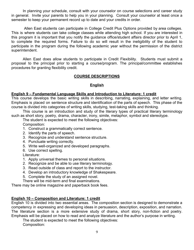In planning your schedule, consult with your counselor on course selections and career study in general. Invite your parents to help you in your planning. Consult your counselor at least once a semester to keep your permanent record up to date and your credits in order.

Allen East students can participate in College Credit Plus Options provided by area colleges. This is where students can take college classes while attending high school. If you are interested in this program it is important that you notify the guidance office/student affairs director prior to April 1, to complete the required forms. Failure to do so will result in the ineligibility of the student to participate in the program during the following academic year without the permission of the district superintendent.

Allen East does allow students to participate in Credit Flexibility. Students must submit a proposal to the principal prior to starting a course/program. The principal/committee establishes procedures for granting flexibility credit.

# **COURSE DESCRIPTIONS**

# **English**

#### **English 9 – Fundamental Language Skills and Introduction to Literature: 1 credit**

This course develops the basic writing skills in describing, narrating, explaining, and letter writing. Emphasis is placed on sentence structure and identification of the parts of speech. This phase of the course is divided into categories of writing skills, studying, test-taking skills and thinking.

This course is an introduction and study of the literary types of practical literary terminology such as short story, poetry, drama, character, irony, simile, metaphor, symbol and stereotype.

The student is expected to meet the following objectives:

Composition:

- 1. Construct a grammatically correct sentence.
- 2. Identify the parts of speech.
- 3. Recognize and understand sentence structure.
- 4. Punctuate writing correctly.
- 5. Write well-organized and developed paragraphs.
- 6. Use correct spelling.

Literature:

- 1. Apply universal themes to personal situations.
- 2. Recognize and be able to use literary terminology.
- 3. Read outside of class and report to the instructor.
- 4. Develop an introductory knowledge of Shakespeare.
- 5. Complete the study of an assigned novel.
- There will be mid-term and final examinations.

There may be online magazine and paperback book fees.

# **English 10 – Composition and Literature: 1 credit**

English 10 is divided into two essential areas. The composition section is designed to demonstrate a competency in expressing and developing ideas in persuasion, description, exposition, and narration. The literature section is a more extensive study of drama, short story, non-fiction and poetry. Emphasis will be placed on how to read and analyze literature and the author's purpose in writing.

The student is expected to meet the following objectives: Composition: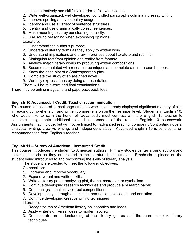- 1. Listen attentively and skillfully in order to follow directions.
- 2. Write well-organized, well-developed, controlled paragraphs culminating essay writing.
- 3. Improve spelling and vocabulary usage.
- 4. Identify and use a variety of sentence structures.
- 5. Identify and use grammatically correct sentences.
- 6. Make meaning clear by punctuating correctly.

7. Use sound reasoning when expressing opinions.

- Literature:
- 1. Understand the author's purpose.
- 2. Understand literary terms as they apply to written work.
- 3. Understand implications and draw inferences about literature and real life.
- 4. Distinguish fact from opinion and reality from fantasy.
- 5. Analyze major literary works by producing written compositions.
- 6. Become acquainted with research techniques and complete a mini-research paper.
- 7. Know the base plot of a Shakespearean play.
- 8. Complete the study of an assigned novel.
- 9. Verbally express ideas by doing a presentation.
- There will be mid-term and final examinations.

There may be online magazine and paperback book fees.

# **English 10 Advanced: 1 Credit: Teacher recommendation**

This course is designed to challenge students who have already displayed significant mastery of skill in reading comprehension and written comprehension on the freshman level. Students in English 10, who would like to earn the honor of "advanced", must contract with the English 10 teacher to complete assignments additional to and independent of the regular English 10 coursework. Assignments may include, but will not be limited to: advanced reading, comparing/contrasting novels, analytical writing, creative writing, and independent study. Advanced English 10 is conditional on recommendation from English 9 teacher.

# **English 11 – Survey of American Literature: 1 Credit**

This course introduces the student to American authors. Primary studies center around authors and historical periods as they are related to the literature being studied. Emphasis is placed on the student being introduced to and recognizing the skills of literary analysis.

The student is expected to meet the following objectives:

Composition:

- 1. Increase and improve vocabulary.
- 2. Expand verbal and written skills.
- 3. Write a literary paper analyzing plot, theme, character, or symbolism.
- 4. Continue developing research techniques and produce a research paper.
- 5. Construct grammatically correct compositions.
- 6. Develop essays through description, persuasion, exposition and narration.
- 7. Continue developing creative writing techniques

Literature:

- 1. Recognize major American literary philosophies and ideas.
- 2. Apply writer's universal ideas to modern society.
- 3. Demonstrate an understanding of the literary genres and the more complex literary techniques.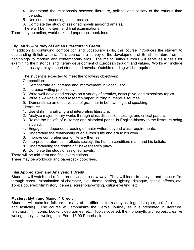- 4. Understand the relationship between literature, politics, and society of the various time periods.
- 5. Use sound reasoning in expression.
- 6. Complete the study of assigned novels and/or drama(s).

There will be mid-term and final examinations.

There may be online, workbook and paperback book fees.

# **English 12 – Survey of British Literature: 1 Credit**

In addition to continuing composition and vocabulary skills, this course introduces the student to outstanding British writers. This course is a survey of the development of British literature from its beginnings to modern and contemporary eras. The major British authors will serve as a basis for examining the historical and literary development of European thought and values. Works will include nonfiction, essays, plays, short stories and novels. Outside reading will be required.

The student is expected to meet the following objectives:

Composition:

- 1. Demonstrate an increase and improvement in vocabulary.
- 2. Increase writing proficiency.
- 3. Write well-developed essays on a variety of creative, descriptive, and expository topics.
- 4. Write a well-developed research paper utilizing numerous sources.
- 5. Demonstrate an effective use of grammar in both writing and speaking. Literature:
- 1. Use skills in analyzing and interpreting literature.
- 2. Analyze major literary works through class discussion, testing, and critical papers.
- 3. Relate the beliefs of a literary and historical period in English history to the literature being studied.
- 4. Engage in independent reading of major writers beyond class requirements.
- 5. Understand the relationship of an author's life and era to his work.
- 6. Improve comprehension of literary themes.
- 7. Interpret literature as it reflects society, the human condition, man, and his beliefs.
- 8. Understanding the drama of Shakespeare's plays.
- 9. Complete the study of assigned novels.

There will be mid-term and final examinations.

There may be workbook and paperback book fees.

# **Film Appreciation and Analysis: 1 Credit**

Students will watch and reflect on movies in a new way. They will learn to analyze and discuss film through careful examination of character, plot, theme, setting, lighting, dialogue, special effects, etc. Topics covered: film history, genres, screenplay-writing, critique writing, etc.

# **Mystery, Myth and Magic: 1 Credit**

Students will examine folklore in many of its different forms (myths, legends, epics, beliefs, rituals, and festivals). The course will emphasize the Hero's Journey as it is presented in literature, television, film, comic books, video games, etc. Topics covered: the monomyth, archetypes, creative writing, analytical writing, etc. Fee: \$6.00 Paperback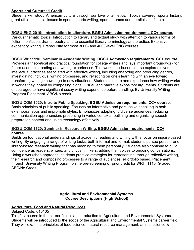# **Sports and Culture: 1 Credit**

Students will study American culture through our love of athletics. Topics covered: sports history, great athletes, social issues in sports, sports writing, sports themes and parallels in life, etc.

# **BGSU ENG 2010: Introduction to Literature. BGSU Admission requirements. CC+ course.**

Various thematic topics. Introduction to literary and textual study with attention to various forms of fiction, nonfiction, drama, poetry, and to essential literary terminology and practice. Extensive expository writing. Prerequisite for most 3000- and 4000-level ENG courses.

# **BGSU Writ 1110: Seminar in Academic Writing. BGSU Admission requirements. CC+ course.**

Provides a theoretical and practical foundation for college writers and lays important groundwork for future academic reading and writing experiences. This workshop-based course explores diverse intellectual practices associated with effective writing, including analyzing and producing genres, investigating individual writing processes, and reflecting on one's learning with an eye toward transferring writing knowledge to new situations. Students explore and experience how writing works in worlds they inhabit by composing digital, visual, and narrative expository arguments. Students are encouraged to have significant essay writing experience before enrolling. By University Writing Program Placement. ABC/No credit.

# **BGSU COM 1020: Intro to Public Speaking. BGSU Admission requirements. CC+ course.**

Basic principles of public speaking. Focuses on informative and persuasive speaking in both extemporaneous and impromptu styles. Emphasizes adapting to diverse audiences, reducing communication apprehension, presenting in varied contexts, outlining and organizing speech preparation content and using technology effectively.

#### **BGSU COM 1120: Seminar in Research Writing. BGSU Admission requirements. CC+ course.**

Builds on foundational understandings of academic reading and writing with a focus on inquiry-based writing. By engaging a range of writing tasks, both informal and formal, students pursue person- and library-based research writing that has meaning to them personally. Students also continue to build confidence as readers, writers, and critical thinkers, adding their voices to ongoing conversations. Using a workshop approach, students practice strategies for representing, through reflective writing, their research and composing processes to a range of audiences. ePortfolio based. Placement through University Writing Program online pre-screening **or** prior credit for WRIT 1110. Graded ABC/No Credit.

# **Agricultural and Environmental Systems Course Descriptions (High School)**

# **Agriculture, Food and Natural Resources**

Subject Code: 010105

This first course in the career field is an introduction to Agricultural and Environmental Systems. Students will be introduced to the scope of the Agricultural and Environmental Systems career field. They will examine principles of food science, natural resource management, animal science &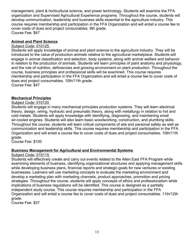management, plant & horticultural science, and power technology. Students will examine the FFA organization and Supervised Agricultural Experience programs. Throughout the course, students will develop communication, leadership and business skills essential to the agriculture industry. This course requires membership and participation in the FFA Organization and will entail a course fee to cover costs of dues and project consumables. 9th grade. Course Fee: \$47

# **Animal and Plant Science**

# Subject Code: 010125

Students will apply knowledge of animal and plant science to the agriculture industry. They will be introduced to the value of production animals relative to the agricultural marketplace. Students will engage in animal classification and selection, body systems, along with animal welfare and behavior in relation to the production of animals. Students will learn principles of plant anatomy and physiology, and the role of nutrition, deficiencies and growing environment on plant production. Throughout the course, business principles and professional skills will be examined. This course requires membership and participation in the FFA Organization and will entail a course fee to cover costs of dues and project consumables. 10th/11th grade. Course Fee: \$47

# **Mechanical Principles**

#### Subject Code: 010120

Students will engage in many mechanical principles production systems. They will learn electrical theory, design, wiring, hydraulic and pneumatic theory, along with metallurgy in relation to hot and cold metals. Students will apply knowledge with identifying, diagnosing, and maintaining small air-cooled engines. Students will also learn basic woodworking, construction, and plumbing skills. Throughout the course, students will learn critical components of site and personal safety as well as communication and leadership skills. This course requires membership and participation in the FFA Organization and will entail a course fee to cover costs of dues and project consumables. 10th/11th grade.

Course Fee: \$100

#### **Business Management for Agricultural and Environmental Systems**

#### Subject Code: 010115

Students will effectively create and carry out events related to the Allen East FFA Program while examining elements of business, identifying organizational structures and applying management skills while developing business plans, financial reports and strategic goals for new ventures or existing businesses. Learners will use marketing concepts to evaluate the marketing environment and develop a marketing plan with marketing channels, product approaches, promotion and pricing strategies. Throughout the course, students will apply concepts of ethics and professionalism while implications of business regulations will be identified. This course is designed as a partially independent study course. This course requires membership and participation in the FFA Organization and will entail a course fee to cover costs of dues and project consumables. 11th/12th grade.

Course Fee: \$37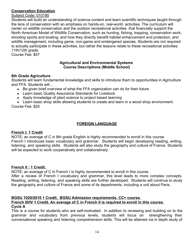# **Conservation Education**

# Subject Code: 010190

Students will build an understanding of science content and learn scientific techniques taught through the lens of conservation with an emphasis on hands-on, real-world activities. The curriculum will center on wildlife conservation and the outdoor recreational activities that financially support the North American Model of Wildlife Conservation, such as hunting, fishing, trapping, conservation work, shooting sports and boating; and how they directly benefit habitat enhancement and protection, and wildlife management, including game, non-game and endangered species. Students are not required to actually participate in these activities, but rather the lessons relate to these recreational activities. 11th/12th grade.

Course Fee: \$47

#### **Agricultural and Environmental Systems Course Descriptions (Middle School)**

# **8th Grade Agriculture**

Students will learn fundamental knowledge and skills to introduce them to opportunities in Agriculture and FFA. Students will…

- Be given brief overview of what the FFA organization can do for their future
- Learn basic Quality Assurance Standards for Livestock
- Apply knowledge of plant science to project based learning
- Learn basic shop skills allowing students to create and learn in a wood shop environment.

Course Fee: \$20

# **FOREIGN LANGUAGE**

# **French I: 1 Credit**

NOTE: an average of C in 8th grade English is highly recommended to enroll in this course. French I introduces basic vocabulary and grammar. Students will begin developing reading, writing, listening, and speaking skills. Students will also study the geography and culture of France. Students will be expected to work cooperatively and collaboratively.

# **French II : 1 Credit.**

NOTE: an average of C in French I is highly recommended to enroll in this course.

After a review of French I vocabulary and grammar, this level leads to more complex concepts. Reading, writing, listening, and speaking skills are further developed. Students will continue to study the geography and culture of France and some of its departments, including a unit about Paris.

# **BGSU 1020/2010 1 Credit. BGSU Admission requirements. CC+ course.**

# **French III/IV 1 Credit. An average of C in French II is required to enroll in this course. Cycle A**

This is a course for students who are self-motivated. In addition to reviewing and building on to the grammar and vocabulary from previous levels, students will focus on strengthening their conversational speaking and listening comprehension skills. This will be attained via in depth study of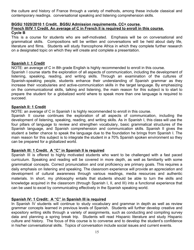the culture and history of France through a variety of methods, among these include classical and contemporary readings. conversational speaking and listening comprehension skills.

#### **BGSU 1020/2010 1 Credit. BGSU Admission requirements. CC+ course. French III/IV 1 Credit. An average of C in French II is required to enroll in this course. Cycle B**

This is a course for students who are self-motivated. Emphasis will be on conversational and grammatical skills. Compositions will be written and conversations will be held about daily life, literature and films. Students will study francophone Africa in which they complete further research on a designated topic on which they will create and complete a presentation.

# **Spanish I: 1 Credit**

NOTE: an average of C in 8th grade English is highly recommended to enroll in this course.

Spanish I course starts the exploration of all aspects of communication, including the development of listening, speaking, reading, and writing skills. Through an examination of the cultures of Spanish-speaking people, students enhance their understanding of Spanish grammar as they increase their vocabularies and active-communication skills in the target language. By emphasizing on the communicational skills, talking and listening, the main reason for this subject is to start to prepare the student for a globalized world where to speak more than one language is required to succeed.

# **Spanish II: 1 Credit**

NOTE: an average of C in Spanish I is highly recommended to enroll in this course.

Spanish II course continues the exploration of all aspects of communication, including the development of listening, speaking, reading, and writing skills. As in Spanish I, this class will use the four pillars of language to review and strengthen vocabulary, basic grammatical structures of the Spanish language, and Spanish comprehension and communication skills. Spanish II gives the student a better chance to speak the language due to the foundation he brings from Spanish I. The main reason for this subject is to integrate the student in a 70% Spanish spoken environment so they can be prepared for a globalized world.

# **Spanish III: 1 Credit. A "C" in Spanish II is required**

Spanish III is offered to highly motivated students who want to be challenged with a fast paced curriculum. Speaking and reading will be covered in more depth, as well as familiarity with some grammatical concepts. Correct pronunciation and oral proficiency are primary goals. This requires a daily emphasis on listening and speaking. The classroom experience will provide an appreciation and development of cultural awareness through various readings, media resources and authentic materials. In short, my philosophy entails that students should be able to turn the skills and knowledge acquired in the classroom (through Spanish I, II, and III) into a functional experience that can be used to excel by communicating effectively in the Spanish speaking world.

# **Spanish IV: 1 Credit: A "C" in Spanish III is required**

In Spanish IV students will continue to study vocabulary and grammar in depth as well as review grammar concepts learned in previous levels of Spanish. Students will further develop creative and expository writing skills through a variety of assignments, such as conducting and compiling survey data and planning a spring break trip. Students will read Hispanic literature and study Hispanic culture and history. The focus of this course is to converse and to develop the student's confidence in his/her conversational skills. Topics of conversation include social issues and current events.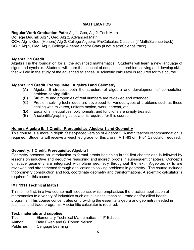# **MATHEMATICS**

# **Regular/Work Graduation Path:** Alg 1, Geo, Alg 2, Tech Math

**College Bound**: Alg 1, Geo, Alg 2, Advanced Math

**CC+:** Alg 1, Geo, (Honors) Alg 2, College Algebra, PreCalculus, Calculus (if Math/Science track) **CC+:** Alg 1, Geo, Alg 2, College Algebra and/or Stats (if not Math/Science track)

# **Algebra I: 1 Credit**

Algebra I is the foundation for all the advanced mathematics. Students will learn a new language of signs and symbols. Students will learn the concept of equations in problem solving and develop skills that will aid in the study of the advanced sciences. A scientific calculator is required for this course.

# **Algebra II: 1 Credit. Prerequisite: Algebra I and Geometry**

- (A) Algebra II stresses both the structure of algebra and development of computation problem-solving skills.
- (B) Structure and properties of real numbers are reviewed and extended.
- (C) Problem-solving techniques are developed for various types of problems such as those dealing with mixtures, uniform motion, work, percent, etc.
- (D) Equations, inequalities, polynomials, and functions are simply treated.
- (E) A scientific/graphing calculator is required for this course.

# **Honors Algebra II: 1 Credit. Prerequisite: Algebra 1 and Geometry**

This course is a more in depth, faster-paced version of Algebra 2. A math teacher recommendation is required. Students will receive a weighted grade for this class. A TI-83 or TI- 84 Calculator required.

# **Geometry: 1 Credit. Prerequisite: Algebra I**

Geometry presents an introduction to formal proofs beginning in the first chapter and is followed by lessons on inductive and deductive reasoning and indirect proofs in subsequent chapters. Concepts of space geometry are integrated with plane geometry throughout the text. Algebraic skills are reviewed and strengthened through application to solving problems in geometry. The course includes trigonometry construction and loci, coordinate geometry and transformations. A scientific calculator is required for this course.

#### **IMT 1911 Technical Math I**

This is the first, in a two-course math sequence, which emphasizes the practical application of mathematics to a variety of industries such as: business, technical, trade and/or allied health programs. This course concentrates on providing the essential algebra and geometry needed in technical and trade programs. A scientific calculator is required.

#### **Text, materials and supplies:**

| Title:     | Elementary Technical Mathematics $-11^{th}$ Edition: |
|------------|------------------------------------------------------|
| Author:    | Dale Ewen and C. Robert Nelson                       |
| Publisher: | Cengage Learning                                     |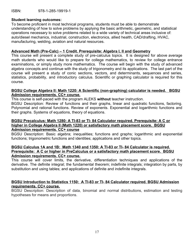ISBN: 978-1-285-19919-1

#### **Student learning outcomes:**

To become proficient in most technical programs, students must be able to demonstrate understanding of how to solve problems by applying the basic arithmetic, geometric, and statistical operations necessary to solve problems related to a wide variety of technical areas inclusive of: auto/diesel mechanics, industrial, construction, electronics, allied health, CAD/drafting, HVAC, manufacturing, welding, aviation and natural resources.

#### **Advanced Math (Pre-Calc) – 1 Credit. Prerequisite: Algebra I, II and Geometry**

This course will present a complete study of pre-calculus topics. It is designed for above average math students who would like to prepare for college mathematics, to review for college entrance examinations, or simply study more mathematics. The course will begin with the study of advanced algebra concepts and continue with the study of trigonometry and its applications. The last part of the course will present a study of conic sections, vectors, and determinants, sequences and series, statistics, probability, and introductory calculus. Scientific or graphing calculator is required for this course.

#### **BGSU College Algebra II: Math 1220: A Scientific (non-graphing) calculator is needed. BGSU Admission requirements. CC+ course.**

This course is self-paced with the program ALEKS **without** teacher instruction.

BGSU Description: Review of functions and their graphs, linear and quadratic functions, factoring. Polynomial and rational functions. Review of exponents. Exponential and logarithmic functions and their graphs. Systems of equations, theory of equations.

#### **BGSU Precalculus: Math 1280: A TI-83 or TI- 84 Calculator required. Prerequisite: A C or higher in College Algebra II (Math 1220) or satisfactory math placement score. BGSU Admission requirements. CC+ course**

BGSU Description: Basic algebra; inequalities; functions and graphs; logarithmic and exponential functions; trigonometric functions and identities; applications and other topics.

#### **BGSU Calculus 1A and 1B: Math 1340 and 1350: A TI-83 or TI- 84 Calculator is required. Prerequisite: A C or higher in PreCalculus or a satisfactory math placement score. BGSU Admission requirements. CC+ course.**

This course will cover limits, the derivative, differentiation techniques and applications of the derivative. The definite integral; the fundamental theorem; indefinite integrals; integration by parts, by substitution and using tables; and applications of definite and indefinite integrals.

#### **BGSU Introduction to Statistics 1150: A TI-83 or TI- 84 Calculator required. BGSU Admission requirements. CC+ course.**

BGSU Description: Description of data, binomial and normal distributions, estimation and testing hypotheses for means and proportions.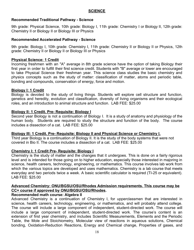# **Recommended Traditional Pathway - Science**

9th grade: Physical Science, 10th grade: Biology I, 11th grade: Chemistry I or Biology II, 12th grade: Chemistry II or Biology II or Biology III or Physics

#### **Recommended Accelerated Pathway - Science**

9th grade: Biology I, 10th grade: Chemistry I, 11th grade: Chemistry II or Biology II or Physics, 12th grade: Chemistry II or Biology II or Biology III or Physics

# **Physical Science: 1 Credit**

Incoming freshmen with an "A" average in 8th grade science have the option of taking Biology their first year in order to fulfill their first science credit. Students with "B" average or lower are encouraged to take Physical Science their freshman year. This science class studies the basic chemistry and physics concepts such as the study of matter: classification of matter, atoms and periodic table, bonding and compounds, conservation of energy, force and motion.

#### **Biology I: 1 Credit**

Biology is devoted to the study of living things. Students will explore cell structure and function, genetics and heredity, evolution and classification, diversity of living organisms and their ecological roles, and an introduction to animal structure and function. LAB FEE: \$25.00

# **Biology II: 1 Credit. Pre- Requisite: Biology I**

Second year Biology is not a continuation of Biology I. It is a study of anatomy and physiology of the human body. Students are required to study the structure and function of the body. The course includes a dissection of a cat. LAB FEE: \$25.00

#### **Biology III: 1 Credit. Pre- Requisite: Biology II and Physical Science or Chemistry I.**

Third year Biology is a continuation of Biology II. It is the study of the body systems that were not covered in Bio II. The course includes a dissection of a cat. LAB FEE: \$25.00

#### **Chemistry I: 1 Credit Pre- Requisite: Biology I**

Chemistry is the study of matter and the changes that it undergoes. This is done on a fairly rigorous level and is intended for those going on to higher education, especially those interested in majoring in science, health careers, technology, engineering, or mathematics. This course involves lab work from which the various topics are developed and uses mathematics. Chemistry is a lab course that meets everyday and two periods twice a week. A basic scientific calculator is required (TI-25 or equivalent). LAB FEE: \$25.00

# **Advanced Chemistry: ONU/BGSU/OSU/Rhodes Admission requirements. This course may be CC+ course if approved by ONU/BGSU/OSU/Rhodes.**

# **Recommended math course: Algebra II**

Advanced Chemistry is a continuation of Chemistry I, for upperclassmen that are interested in science, health careers, technology, engineering, or mathematics, and will probably attend college. The course will include a large component of independent, student-directed work. The course will include a large component of independent, student-directed work. The course's content is an extension of first year chemistry, and includes Scientific Measurements, Elements and the Periodic Table, the Mole and Stoichiometry, Molecular view of reactions in aqueous solutions, Chemical bonding, Oxidation-Reduction Reactions, Energy and Chemical change, Properties of gases, and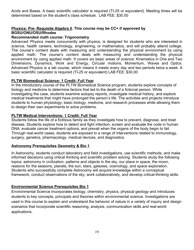Acids and Bases. A basic scientific calculator is required (TI-25 or equivalent). Meeting times will be determined based on the student's class schedule. LAB FEE: \$30.00

# **Physics: Pre- Requisite Algebra II. This course may be CC+ if approved by BGSU/ONU/OSU/Rhodes**

# **Recommended math course: Trigonometry**

Advanced Physics meets concurrently with physics, is designed for students who are interested in science, health careers, technology, engineering, or mathematics, and will probably attend college. The course's content deals with measuring and understanding the physical environment by using applied math. The course's content deals with measuring and understanding the physical environment by using applied math. It covers six basic areas of science: Kinematics in One and Two Dimensions, Dynamics, Work and Energy, Circular motions, Momentum, Waves and Optics. Advanced Physics is a lab course, which means it meets every day and two periods twice a week. A basic scientific calculator is required (TI-25 or equivalent) LAB FEE: \$30.00

#### **PLTW Biomedical Science: 1 Credit: Full Year**

In the introductory course of the PLTW Biomedical Science program, students explore concepts of biology and medicine to determine factors that led to the death of a fictional person. While investigating the case, students examine autopsy reports, investigate medical history, and explore medical treatments that might have prolonged the person's life. The activities and projects introduce students to human physiology, basic biology, medicine, and research processes while allowing them to design their own experiments to solve problems.

# **PLTW Medical Interventions: 1 Credit: Full Year**

Students follow the life of a fictitious family as they investigate how to prevent, diagnose, and treat disease. Students explore how to detect and fight infection; screen and evaluate the code in human DNA; evaluate cancer treatment options; and prevail when the organs of the body begin to fail. Through real-world cases, students are exposed to a range of interventions related to immunology, surgery, genetics, pharmacology, medical devices, and diagnostics.

#### **Astronomy Prerequisites Geometry & Bio 1**

In Astronomy, students conduct laboratory and field investigations, use scientific methods, and make informed decisions using critical thinking and scientific problem solving. Students study the following topics: astronomy in civilization, patterns and objects in the sky, our place in space, the moon, reasons for the seasons, planets, the sun, stars, galaxies, cosmology, and space exploration. Students who successfully complete Astronomy will acquire knowledge within a conceptual framework, conduct observations of the sky, work collaboratively, and develop critical-thinking skills.

#### **Environmental Science Prerequisites Bio 1**

Environmental Science incorporates biology, chemistry, physics, physical geology and introduces students to key concepts, principals and theories within environmental science. Investigations are used in this course to explain and understand the behavior of nature in a variety of inquiry and design scenarios that incorporate scientific reasoning, analysis, communication skills and real-world applications.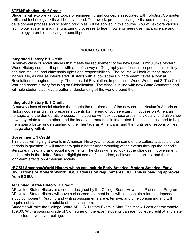# **STEM/Robotics: Half Credit**

Students will explore various topics of engineering and concepts associated with robotics. Computer skills and technology skills will be developed. Teamwork, problem solving skills, use of a design development process and scientific principles will be applied in this course. You will explore various technology systems and manufacturing processes to learn how engineers use math, science and technology in problem solving to benefit people.

# **SOCIAL STUDIES**

# **Integrated History I: 1 Credit**

 A survey class of social studies that meets the requirement of the new Core Curriculum's Modern World History course. It opens with a brief survey of Geography and focuses on peoples in society, decision making, and citizenship rights and responsibilities. The course will look at these areas individually, as well as interrelated. It starts with a look at the Enlightenment, takes a look at Revolutions throughout history, The Industrial Revolution, Imperialism, World War 1 and 2, The Cold War and recent history focusing on Globalization. The class is in line with new State Standards and will help students achieve a better understanding of the world around them.

# **Integrated History II: 1 Credit**

 A survey class of social studies that meets the requirement of the new core curriculum's American History course as well as prepares students for the end of course exam. It focuses on American heritage, and the democratic process. The course will look at these areas individually, and also show how they relate to each other, and the ideas and materials in integrated 1. It is also designed to help them gain a better understanding of their heritage as Americans, and the rights and responsibilities that go along with it.

#### **Government: 1 Credit**

This class will highlight events in American History, and focus on some of the cultural aspects of the periods in question. It will attempt to gain a better understanding of the events through the period's literature, music, art, and social movements. The class will also look at the changes in government and its role in the United States. Highlight some of its leaders, achievements, errors, and their long-term effects on American society.

#### **\*BGSU American/World History which can include Early America, Modern America, Early Civilizations or Modern World: BGSU admission requirements. CC+ This is pending approval from BGSU.**

# **AP United States History: 1 Credit**

AP United States History is a course designed by the College Board Advanced Placement Program. AP United States History will have a classroom element but it will also contain a large independent study component. Reading and writing assignments are extensive, and time consuming and will require substantial time outside of the classroom.

Students will take the College Board AP U.S. History Exam in May. The test will cost approximately \$89.00. With a passing grade of 3 or higher on the exam students can earn college credit at any state supported university or college.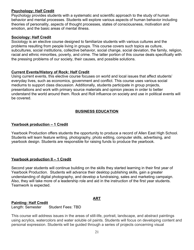# **Psychology: Half Credit**

Psychology provides students with a systematic and scientific approach to the study of human behavior and mental processes. Students will explore various aspects of human behavior including theories of personality, aspects of thought processes, states of consciousness, motivation and emotion, and the basic areas of mental illness.

# **Sociology: Half Credit**

Sociology is an elective course designed to familiarize students with various cultures and the problems resulting from people living in groups. This course covers such topics as culture, subcultures, social institutions, collective behavior, social change, social deviation, the family, religion, racial and ethnic minorities, poverty, and crime. The latter portion of this course deals specifically with the pressing problems of our society, their causes, and possible solutions.

# **Current Events/History of Rock: Half Credit**

Using current events, this elective course focuses on world and local issues that affect students' everyday lives, such as economics, government and conflict. This course uses various social mediums to support class discussion. Additionally, students participate in group projects, presentations and work with primary source materials and opinion pieces in order to better understand the world around them. Rock and Roll influence on society and use in political events will be covered.

# **BUSINESS EDUCATION**

# **Yearbook production – 1 Credit**

Yearbook Production offers students the opportunity to produce a record of Allen East High School. Students will learn feature writing, photography, photo editing, computer skills, advertising, and yearbook design. Students are responsible for raising funds to produce the yearbook.

#### **Yearbook production II – 1 Credit**

Second year students will continue building on the skills they started learning in their first year of Yearbook Production. Students will advance their desktop publishing skills, gain a greater understanding of digital photography, and develop a fundraising, sales and marketing campaign. Also, they will take more of a leadership role and aid in the instruction of the first year students. Teamwork is expected.

#### **ART**

# **Painting: Half Credit**

Length: Semester Student Fees: TBD

This course will address issues in the areas of still-life, portrait, landscape, and abstract paintings using acrylics, watercolors and water soluble oil paints. Students will focus on developing content and personal expression. Students will be guided through a series of projects concerning visual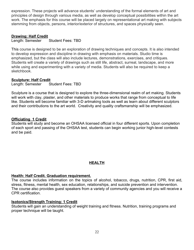expression. These projects will advance students' understanding of the formal elements of art and principles of design through various media, as well as develop conceptual possibilities within the art work. The emphasis for this course will be placed largely on representational art making with subjects stemming from objects, persons, interior/exterior of structures, and spaces physically seen.

# **Drawing: Half Credit**

Length: Semester Student Fees: TBD

This course is designed to be an exploration of drawing techniques and concepts. It is also intended to develop expression and discipline in drawing with emphasis on materials. Studio time is emphasized, but the class will also include lectures, demonstrations, exercises, and critiques. Students will create a variety of drawings such as still life, abstract, surreal, landscape, and more while using and experimenting with a variety of media. Students will also be required to keep a sketchbook.

# **Sculpture: Half Credit**

Length: Semester Student Fees: TBD

Sculpture is a course that is designed to explore the three-dimensional realm of art making. Students will work with clay, plaster, and other materials to produce works that range from conceptual to life like. Students will become familiar with 3-D artmaking tools as well as learn about different sculptors and their contributions to the art world. Creativity and quality craftsmanship will be emphasized.

#### **Officiating 1 Credit**

Students will study and become an OHSAA licensed official in four different sports. Upon completion of each sport and passing of the OHSAA test, students can begin working junior high-level contests and be paid.

# **HEALTH**

#### **Health: Half Credit. Graduation requirement.**

The course includes information on the topics of alcohol, tobacco, drugs, nutrition, CPR, first aid, stress, fitness, mental health, sex education, relationships, and suicide prevention and intervention. The course also provides guest speakers from a variety of community agencies and you will receive a CPR certification.

#### **Isotonics/Strength Training: 1 Credit**

Students will gain an understanding of weight training and fitness. Nutrition, training programs and proper technique will be taught.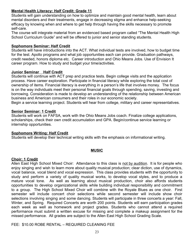# **Mental Health Literacy: Half Credit: Grade 11**

Students will gain understanding on how to optimize and maintain good mental health, learn about mental disorders and their treatments, engage in decreasing stigma and enhance help-seeking efficacy by knowing when and where to get help through having the skills necessary to promote self-care.

The course will integrate material from an evidenced based program called "The Mental Health High School Curriculum Guide" and will be offered to junior and senior standing students.

#### **Sophomore Seminar: Half Credit**

Students will have introductions into the ACT. What individual tests are involved, how to budget time for the test. Apollo programs and what job opportunities each can provide. Graduation pathways, credit needed, honors diploma etc. Career introduction and Ohio Means Jobs. Use of Envision It career program. How to study and budget your time/activities.

#### **Junior Seminar Half Credit**

Students will continue with ACT prep and practice tests. Begin college visits and the application process. Have career exploration. Participate in financial literacy while exploring the total cost of ownership of items. Financial literacy is everything in a person's life that involves money. The focus is on the way individuals meet their personal financial goals through spending, saving, investing and borrowing. Consideration is made to develop an understanding of the relationship between American business and American consumers and their roles in our economic society.

Begin a service learning project. Students will hear from college, military and career representatives.

# **Senior Seminar: 1 Credit**

Students will work on FAFSA, work with the Ohio Means Jobs coach. Finalize college applications, scholarships, check their own credit accumulation and GPA. Begin/continue service learning or internship opportunities.

#### **Sophomore Writing: Half Credit**

Students will develop their technical writing skills with the emphasis on informational writing.

#### **MUSIC**

#### **Choir: 1 Credit**

Allen East High School Mixed Choir: Attendance to this class is not by audition. It is for people who enjoy singing and wish to learn more about quality musical production; clear diction, use of dynamics, vocal balance, vocal blend and vocal expression. This class provides students with the opportunity to study and perform a variety of quality musical works, to develop vocal styles, and to produce a mature vocal tone. As well as learning about musical production, choir also affords students opportunities to develop organizational skills while building individual responsibility and commitment to a group. The High School Mixed Choir will combine with the Royale Blues as one choir. First semester will include concert choir selections while second semester will include show choir selections involving singing and some dancing. Students will participate in three concerts a year: Fall, Winter, and Spring. Required Concerts are worth 200 points. Students will earn participation grades each week as well as homework and project grades. Students who cannot attend a required performance must submit a written excuse for missing and complete a makeup assignment for the missed performance. All grades are subject to the Allen East High School Grading Scale.

FEE: \$10.00 ROBE RENTAL – REQUIRED CLEANING FEE